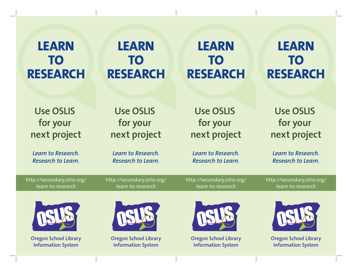## **LEARN TO RESEARCH**

# **LEARN TO RESEARCH**

# **LEARN TO RESEARCH**

### **LEARN TO RESEARCH**

**Use OSLIS for your next project**

*Learn to Research. Research to Learn.*

#### **Use OSLIS for your next project**

*Learn to Research. Research to Learn.*

#### **Use OSLIS for your next project**

*Learn to Research. Research to Learn.*

**Use OSLIS for your next project**

*Learn to Research. Research to Learn.*

http://secondary.oslis.org/ learn-to-research

http://secondary.oslis.org/ learn-to-research

http://secondary.oslis.org/ learn-to-research

http://secondary.oslis.org/ learn-to-research



**Oregon School Library Information System**



**Oregon School Library Information System**



**Oregon School Library Information System**



**Oregon School Library Information System**